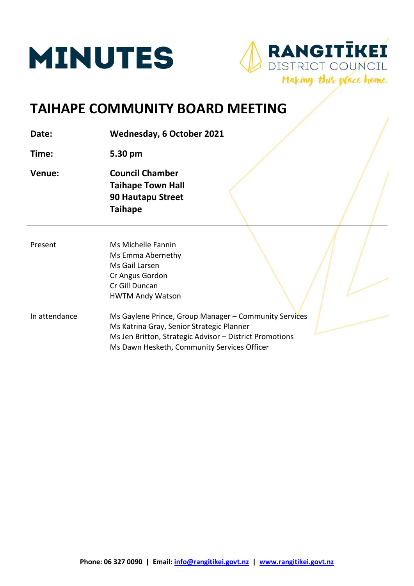



# **TAIHAPE COMMUNITY BOARD MEETING**

**Date: Wednesday, 6 October 2021**

**Time: 5.30 pm**

- **Venue: Council Chamber Taihape Town Hall 90 Hautapu Street Taihape**
- Present Ms Michelle Fannin Ms Emma Abernethy Ms Gail Larsen Cr Angus Gordon Cr Gill Duncan HWTM Andy Watson
- In attendance Ms Gaylene Prince, Group Manager Community Services Ms Katrina Gray, Senior Strategic Planner Ms Jen Britton, Strategic Advisor – District Promotions Ms Dawn Hesketh, Community Services Officer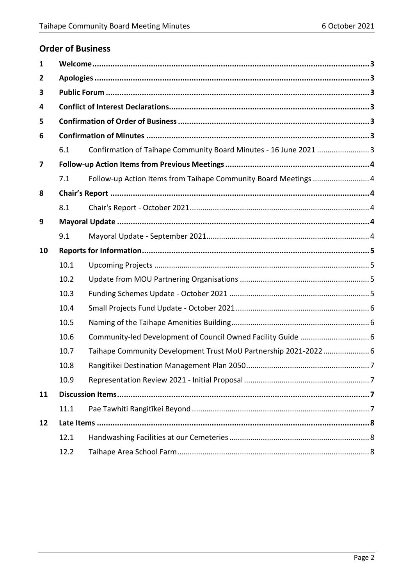# **Order of Business**

| $\mathbf{1}$   |      |                                                                   |  |
|----------------|------|-------------------------------------------------------------------|--|
| $\overline{2}$ |      |                                                                   |  |
| 3              |      |                                                                   |  |
| 4              |      |                                                                   |  |
| 5              |      |                                                                   |  |
| 6              |      |                                                                   |  |
|                | 6.1  | Confirmation of Taihape Community Board Minutes - 16 June 2021  3 |  |
| 7              |      |                                                                   |  |
|                | 7.1  | Follow-up Action Items from Taihape Community Board Meetings  4   |  |
| 8              |      |                                                                   |  |
|                | 8.1  |                                                                   |  |
| 9              |      |                                                                   |  |
|                | 9.1  |                                                                   |  |
| 10             |      |                                                                   |  |
|                | 10.1 |                                                                   |  |
|                | 10.2 |                                                                   |  |
|                | 10.3 |                                                                   |  |
|                | 10.4 |                                                                   |  |
|                | 10.5 |                                                                   |  |
|                | 10.6 | Community-led Development of Council Owned Facility Guide  6      |  |
|                | 10.7 | Taihape Community Development Trust MoU Partnership 2021-2022 6   |  |
|                | 10.8 |                                                                   |  |
|                | 10.9 |                                                                   |  |
| 11             |      |                                                                   |  |
|                | 11.1 |                                                                   |  |
| 12             |      |                                                                   |  |
|                | 12.1 |                                                                   |  |
|                | 12.2 |                                                                   |  |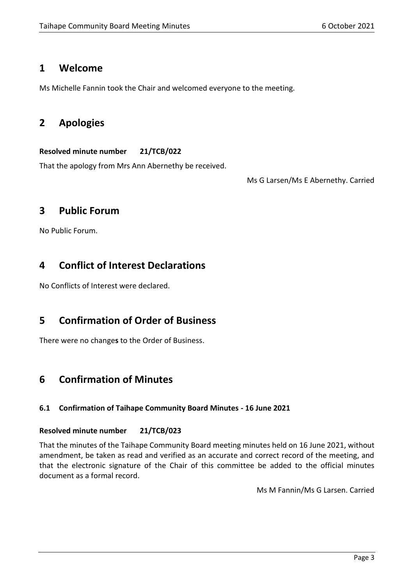# <span id="page-2-0"></span>**1 Welcome**

Ms Michelle Fannin took the Chair and welcomed everyone to the meeting.

# <span id="page-2-1"></span>**2 Apologies**

# **Resolved minute number 21/TCB/022**

That the apology from Mrs Ann Abernethy be received.

Ms G Larsen/Ms E Abernethy. Carried

# <span id="page-2-2"></span>**3 Public Forum**

No Public Forum.

# <span id="page-2-3"></span>**4 Conflict of Interest Declarations**

No Conflicts of Interest were declared.

# <span id="page-2-4"></span>**5 Confirmation of Order of Business**

There were no change**s** to the Order of Business.

# <span id="page-2-5"></span>**6 Confirmation of Minutes**

# <span id="page-2-6"></span>**6.1 Confirmation of Taihape Community Board Minutes - 16 June 2021**

# **Resolved minute number 21/TCB/023**

That the minutes of the Taihape Community Board meeting minutes held on 16 June 2021, without amendment, be taken as read and verified as an accurate and correct record of the meeting, and that the electronic signature of the Chair of this committee be added to the official minutes document as a formal record.

Ms M Fannin/Ms G Larsen. Carried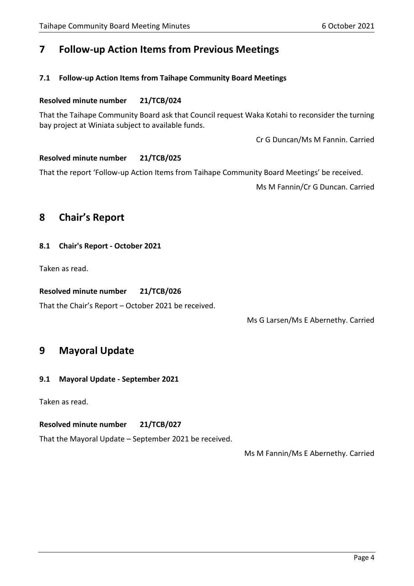# <span id="page-3-0"></span>**7 Follow-up Action Items from Previous Meetings**

### <span id="page-3-1"></span>**7.1 Follow-up Action Items from Taihape Community Board Meetings**

#### **Resolved minute number 21/TCB/024**

That the Taihape Community Board ask that Council request Waka Kotahi to reconsider the turning bay project at Winiata subject to available funds.

Cr G Duncan/Ms M Fannin. Carried

### **Resolved minute number 21/TCB/025**

That the report 'Follow-up Action Items from Taihape Community Board Meetings' be received.

Ms M Fannin/Cr G Duncan. Carried

# <span id="page-3-2"></span>**8 Chair's Report**

#### <span id="page-3-3"></span>**8.1 Chair's Report - October 2021**

Taken as read.

### **Resolved minute number 21/TCB/026**

That the Chair's Report – October 2021 be received.

Ms G Larsen/Ms E Abernethy. Carried

# <span id="page-3-4"></span>**9 Mayoral Update**

# <span id="page-3-5"></span>**9.1 Mayoral Update - September 2021**

Taken as read.

# **Resolved minute number 21/TCB/027**

That the Mayoral Update – September 2021 be received.

Ms M Fannin/Ms E Abernethy. Carried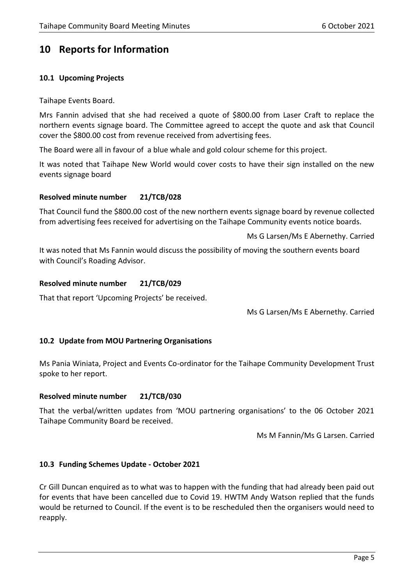# <span id="page-4-0"></span>**10 Reports for Information**

# <span id="page-4-1"></span>**10.1 Upcoming Projects**

Taihape Events Board.

Mrs Fannin advised that she had received a quote of \$800.00 from Laser Craft to replace the northern events signage board. The Committee agreed to accept the quote and ask that Council cover the \$800.00 cost from revenue received from advertising fees.

The Board were all in favour of a blue whale and gold colour scheme for this project.

It was noted that Taihape New World would cover costs to have their sign installed on the new events signage board

### **Resolved minute number 21/TCB/028**

That Council fund the \$800.00 cost of the new northern events signage board by revenue collected from advertising fees received for advertising on the Taihape Community events notice boards.

Ms G Larsen/Ms E Abernethy. Carried

It was noted that Ms Fannin would discuss the possibility of moving the southern events board with Council's Roading Advisor.

### **Resolved minute number 21/TCB/029**

That that report 'Upcoming Projects' be received.

Ms G Larsen/Ms E Abernethy. Carried

# <span id="page-4-2"></span>**10.2 Update from MOU Partnering Organisations**

Ms Pania Winiata, Project and Events Co-ordinator for the Taihape Community Development Trust spoke to her report.

#### **Resolved minute number 21/TCB/030**

That the verbal/written updates from 'MOU partnering organisations' to the 06 October 2021 Taihape Community Board be received.

Ms M Fannin/Ms G Larsen. Carried

#### <span id="page-4-3"></span>**10.3 Funding Schemes Update - October 2021**

Cr Gill Duncan enquired as to what was to happen with the funding that had already been paid out for events that have been cancelled due to Covid 19. HWTM Andy Watson replied that the funds would be returned to Council. If the event is to be rescheduled then the organisers would need to reapply.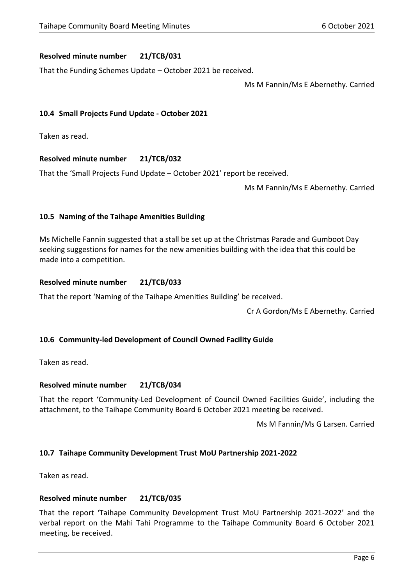### **Resolved minute number 21/TCB/031**

That the Funding Schemes Update – October 2021 be received.

Ms M Fannin/Ms E Abernethy. Carried

### <span id="page-5-0"></span>**10.4 Small Projects Fund Update - October 2021**

Taken as read.

### **Resolved minute number 21/TCB/032**

That the 'Small Projects Fund Update – October 2021' report be received.

Ms M Fannin/Ms E Abernethy. Carried

### <span id="page-5-1"></span>**10.5 Naming of the Taihape Amenities Building**

Ms Michelle Fannin suggested that a stall be set up at the Christmas Parade and Gumboot Day seeking suggestions for names for the new amenities building with the idea that this could be made into a competition.

### **Resolved minute number 21/TCB/033**

That the report 'Naming of the Taihape Amenities Building' be received.

Cr A Gordon/Ms E Abernethy. Carried

#### <span id="page-5-2"></span>**10.6 Community-led Development of Council Owned Facility Guide**

Taken as read.

#### **Resolved minute number 21/TCB/034**

That the report 'Community-Led Development of Council Owned Facilities Guide', including the attachment, to the Taihape Community Board 6 October 2021 meeting be received.

Ms M Fannin/Ms G Larsen. Carried

#### <span id="page-5-3"></span>**10.7 Taihape Community Development Trust MoU Partnership 2021-2022**

Taken as read.

#### **Resolved minute number 21/TCB/035**

That the report 'Taihape Community Development Trust MoU Partnership 2021-2022' and the verbal report on the Mahi Tahi Programme to the Taihape Community Board 6 October 2021 meeting, be received.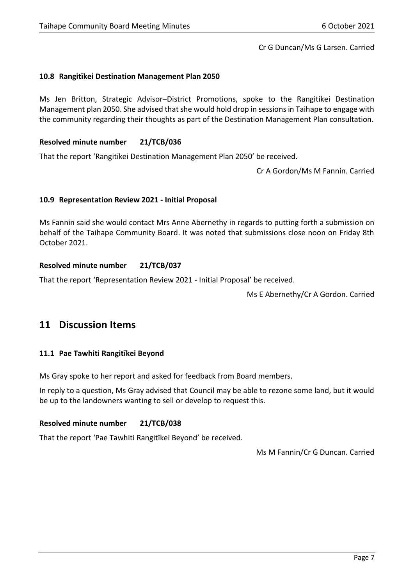Cr G Duncan/Ms G Larsen. Carried

### <span id="page-6-0"></span>**10.8 Rangitīkei Destination Management Plan 2050**

Ms Jen Britton, Strategic Advisor–District Promotions, spoke to the Rangitikei Destination Management plan 2050. She advised that she would hold drop in sessions in Taihape to engage with the community regarding their thoughts as part of the Destination Management Plan consultation.

#### **Resolved minute number 21/TCB/036**

That the report 'Rangitīkei Destination Management Plan 2050' be received.

Cr A Gordon/Ms M Fannin. Carried

#### <span id="page-6-1"></span>**10.9 Representation Review 2021 - Initial Proposal**

Ms Fannin said she would contact Mrs Anne Abernethy in regards to putting forth a submission on behalf of the Taihape Community Board. It was noted that submissions close noon on Friday 8th October 2021.

#### **Resolved minute number 21/TCB/037**

That the report 'Representation Review 2021 - Initial Proposal' be received.

Ms E Abernethy/Cr A Gordon. Carried

# <span id="page-6-2"></span>**11 Discussion Items**

#### <span id="page-6-3"></span>**11.1 Pae Tawhiti Rangitīkei Beyond**

Ms Gray spoke to her report and asked for feedback from Board members.

In reply to a question, Ms Gray advised that Council may be able to rezone some land, but it would be up to the landowners wanting to sell or develop to request this.

#### **Resolved minute number 21/TCB/038**

That the report 'Pae Tawhiti Rangitīkei Beyond' be received.

Ms M Fannin/Cr G Duncan. Carried